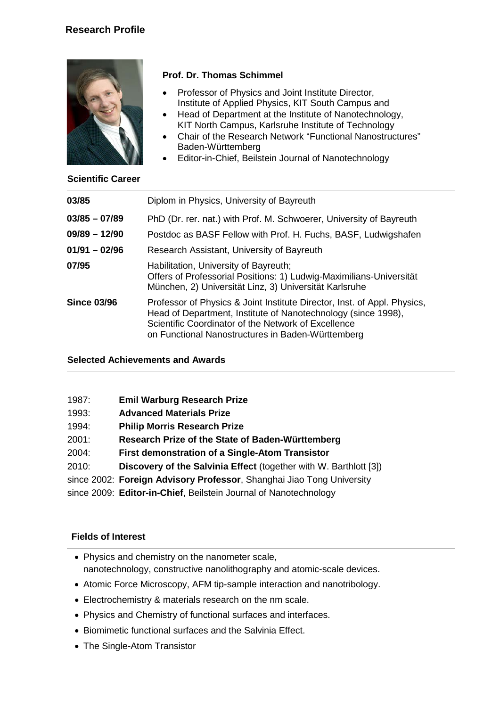

**Scientific Career**

# **Prof. Dr. Thomas Schimmel**

- Professor of Physics and Joint Institute Director, Institute of Applied Physics, KIT South Campus and
- Head of Department at the Institute of Nanotechnology, KIT North Campus, Karlsruhe Institute of Technology
- Chair of the Research Network "Functional Nanostructures" Baden-Württemberg
- Editor-in-Chief, Beilstein Journal of Nanotechnology

| 03/85              | Diplom in Physics, University of Bayreuth                                                                                                                                                                                                             |
|--------------------|-------------------------------------------------------------------------------------------------------------------------------------------------------------------------------------------------------------------------------------------------------|
| $03/85 - 07/89$    | PhD (Dr. rer. nat.) with Prof. M. Schwoerer, University of Bayreuth                                                                                                                                                                                   |
| $09/89 - 12/90$    | Postdoc as BASF Fellow with Prof. H. Fuchs, BASF, Ludwigshafen                                                                                                                                                                                        |
| $01/91 - 02/96$    | Research Assistant, University of Bayreuth                                                                                                                                                                                                            |
| 07/95              | Habilitation, University of Bayreuth;<br>Offers of Professorial Positions: 1) Ludwig-Maximilians-Universität<br>München, 2) Universität Linz, 3) Universität Karlsruhe                                                                                |
| <b>Since 03/96</b> | Professor of Physics & Joint Institute Director, Inst. of Appl. Physics,<br>Head of Department, Institute of Nanotechnology (since 1998),<br>Scientific Coordinator of the Network of Excellence<br>on Functional Nanostructures in Baden-Württemberg |

## **Selected Achievements and Awards**

| 1987: | <b>Emil Warburg Research Prize</b> |  |
|-------|------------------------------------|--|
|       |                                    |  |

- 1993: **Advanced Materials Prize**
- 1994: **Philip Morris Research Prize**
- 2001: **Research Prize of the State of Baden-Württemberg**
- 2004: **First demonstration of a Single-Atom Transistor**
- 2010: **Discovery of the Salvinia Effect** (together with W. Barthlott [3])
- since 2002: **Foreign Advisory Professor**, Shanghai Jiao Tong University
- since 2009: **Editor-in-Chief**, Beilstein Journal of Nanotechnology

## **Fields of Interest**

- Physics and chemistry on the nanometer scale, nanotechnology, constructive nanolithography and atomic-scale devices.
- Atomic Force Microscopy, AFM tip-sample interaction and nanotribology.
- Electrochemistry & materials research on the nm scale.
- Physics and Chemistry of functional surfaces and interfaces.
- Biomimetic functional surfaces and the Salvinia Effect.
- The Single-Atom Transistor